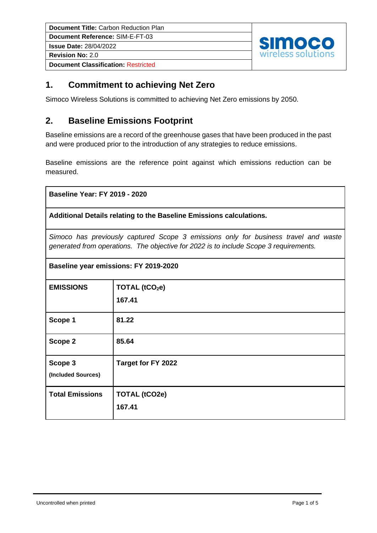**Document Reference:** SIM-E-FT-03

**Issue Date:** 28/04/2022

**Revision No:** 2.0

**Document Classification:** Restricted



### **1. Commitment to achieving Net Zero**

Simoco Wireless Solutions is committed to achieving Net Zero emissions by 2050.

### **2. Baseline Emissions Footprint**

Baseline emissions are a record of the greenhouse gases that have been produced in the past and were produced prior to the introduction of any strategies to reduce emissions.

Baseline emissions are the reference point against which emissions reduction can be measured.

**Baseline Year: FY 2019 - 2020**

**Additional Details relating to the Baseline Emissions calculations.** 

*Simoco has previously captured Scope 3 emissions only for business travel and waste generated from operations. The objective for 2022 is to include Scope 3 requirements.*

| Baseline year emissions: FY 2019-2020 |                            |  |  |  |
|---------------------------------------|----------------------------|--|--|--|
| <b>EMISSIONS</b>                      | TOTAL (tCO <sub>2</sub> e) |  |  |  |
|                                       | 167.41                     |  |  |  |
| Scope 1                               | 81.22                      |  |  |  |
| Scope 2                               | 85.64                      |  |  |  |
| Scope 3                               | Target for FY 2022         |  |  |  |
| (Included Sources)                    |                            |  |  |  |
| <b>Total Emissions</b>                | <b>TOTAL (tCO2e)</b>       |  |  |  |
|                                       | 167.41                     |  |  |  |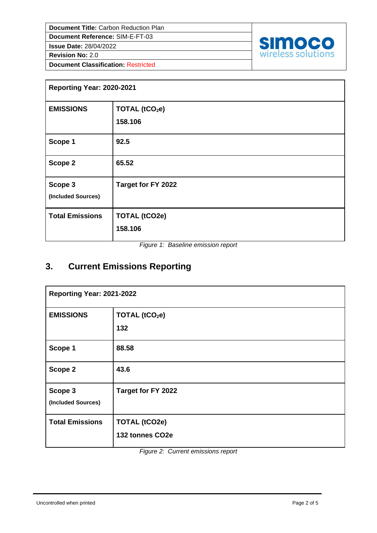**Document Reference:** SIM-E-FT-03

**Issue Date:** 28/04/2022

**Revision No:** 2.0

**Document Classification:** Restricted



| Reporting Year: 2020-2021     |                                       |  |  |  |
|-------------------------------|---------------------------------------|--|--|--|
| <b>EMISSIONS</b>              | TOTAL (tCO <sub>2</sub> e)<br>158.106 |  |  |  |
| Scope 1                       | 92.5                                  |  |  |  |
| Scope 2                       | 65.52                                 |  |  |  |
| Scope 3<br>(Included Sources) | Target for FY 2022                    |  |  |  |
| <b>Total Emissions</b>        | <b>TOTAL (tCO2e)</b><br>158.106       |  |  |  |

*Figure 1: Baseline emission report*

# **3. Current Emissions Reporting**

| Reporting Year: 2021-2022     |                                         |  |  |
|-------------------------------|-----------------------------------------|--|--|
| <b>EMISSIONS</b>              | TOTAL (tCO <sub>2</sub> e)<br>132       |  |  |
| Scope 1                       | 88.58                                   |  |  |
| Scope 2                       | 43.6                                    |  |  |
| Scope 3<br>(Included Sources) | Target for FY 2022                      |  |  |
| <b>Total Emissions</b>        | <b>TOTAL (tCO2e)</b><br>132 tonnes CO2e |  |  |

*Figure 2: Current emissions report*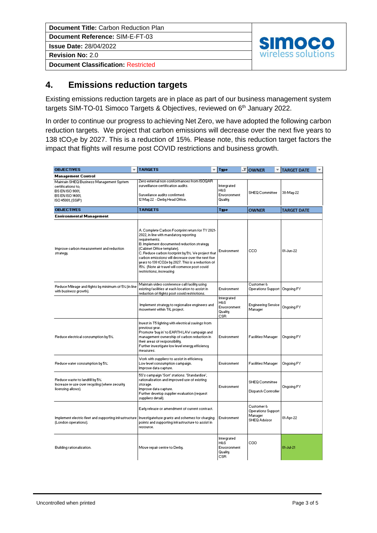**Document Reference:** SIM-E-FT-03 **Issue Date:** 28/04/2022

**Revision No:** 2.0

**Document Classification:** Restricted



### **4. Emissions reduction targets**

Existing emissions reduction targets are in place as part of our business management system targets SIM-TO-01 Simoco Targets & Objectives, reviewed on 6<sup>th</sup> January 2022.

In order to continue our progress to achieving Net Zero, we have adopted the following carbon reduction targets. We project that carbon emissions will decrease over the next five years to 138 tCO<sub>2</sub>e by 2027. This is a reduction of 15%. Please note, this reduction target factors the impact that flights will resume post COVID restrictions and business growth.

| <b>OBJECTIVES</b>                                                                                                                        | <b>TARGETS</b>                                                                                                                                                                                                                                                                                                                                                                                                                        | <b>Type</b>                                                | <b>TOWNER</b>                                                      | <b>TARGET DATE</b> |
|------------------------------------------------------------------------------------------------------------------------------------------|---------------------------------------------------------------------------------------------------------------------------------------------------------------------------------------------------------------------------------------------------------------------------------------------------------------------------------------------------------------------------------------------------------------------------------------|------------------------------------------------------------|--------------------------------------------------------------------|--------------------|
| <b>Management Control</b>                                                                                                                |                                                                                                                                                                                                                                                                                                                                                                                                                                       |                                                            |                                                                    |                    |
| Maintain SHEQ Business Management System<br>certifications to;<br><b>BS EN ISO 9001.</b><br><b>BS EN ISO 14001,</b><br>ISO 45001, (SSiP) | Zero external non conformances from ISOQAR<br>surveillance-certification audits.<br>Surveilance audits confirmed:<br>12 May 22 - Derby Head Office.                                                                                                                                                                                                                                                                                   | Intergrated<br>H&S<br>Envoronment<br>Quality               | SHEQ Committee                                                     | 30-May-22          |
| <b>OBJECTIVES</b>                                                                                                                        | <b>TARGETS</b>                                                                                                                                                                                                                                                                                                                                                                                                                        | Type                                                       | <b>OWNER</b>                                                       | TARGET DATE        |
| <b>Environmental Management</b>                                                                                                          |                                                                                                                                                                                                                                                                                                                                                                                                                                       |                                                            |                                                                    |                    |
| Improve carbon measurement and reduction.<br>strategy.                                                                                   | A. Complete Carbon Footprint return for TY 2021-<br>2022, in line with mandatory reporting<br>requirements.<br>B. Implement documented reduction strategy<br>(Cabinet Office template).<br>C. Reduce carbon footprint by 5%. We project that<br>carbon emissions will decrease over the next five<br>years to 138 tCO2e by 2027. This is a reduction of<br>15%. (Note air travel will comence post covid-<br>restrictions, increasing | Environment                                                | cco                                                                | 01-Jun-22          |
| Reduce Mileage and flights by minimum of 5% (in line<br>with business growth).                                                           | Maintain video conference call facility using<br>existing facilities at each location to assist in<br>reduction of flights post covid restrictions.                                                                                                                                                                                                                                                                                   | Environment                                                | Customer &<br>Operations Support                                   | Ongoing FY         |
|                                                                                                                                          | Implement strategy to regionalise engineers and<br>movement within TfL project.                                                                                                                                                                                                                                                                                                                                                       | Intergrated<br>H&S<br>Envoronment<br>Quality<br>CSR        | <b>Engineering Service</b><br>Manager                              | Ongoing FY         |
| Reduce electrical consumption by 5%.                                                                                                     | Invest in T5 lighting with electrical savings from-<br>previous year.<br>Promote 'buy in' to EARTH LAW campaign and<br>management ownership of carbon reduction in<br>their areas of responsibility.<br>Further investigate low level energy efficiency<br>measures.                                                                                                                                                                  | Environment                                                | Facilities Manager                                                 | Ongoing FY         |
| Reduce water consumption by 5%.                                                                                                          | Work with suppliers to assist in efficiency.<br>Low level consumption campaign.<br>Improve data capture.                                                                                                                                                                                                                                                                                                                              | Environment                                                | Facilities Manager                                                 | Ongoing FY         |
| Reduce waste to landfill by 5%.<br>Increase re use over recycling (where security<br>licensing allows).                                  | 5S's campaign 'Sort' stations. 'Standardise',<br>rationalisation and improved use of existing<br>storage.<br>Improve data capture.<br>Further develop supplier evaluation (request<br>suppliers detail).                                                                                                                                                                                                                              | Environment                                                | <b>SHEQ Committee</b><br>Dispatch Controller                       | Ongoing FY         |
| Implement electric fleet and supporting infrastructure<br>(London operations).                                                           | Early release or amendment of current contract.<br>Investigate/use grants and schemes for charging<br>points and supporting infrastructure to assist in<br>resource.                                                                                                                                                                                                                                                                  | Environment                                                | Customer &<br><b>Operations Support</b><br>Manager<br>SHEQ Advisor | 01-Apr-22          |
| Building rationalisation.                                                                                                                | Move repair centre to Derby.                                                                                                                                                                                                                                                                                                                                                                                                          | Intergrated<br>H&S<br>Envoronment<br>Quality<br><b>CSR</b> | coo                                                                | 01-Jul-21          |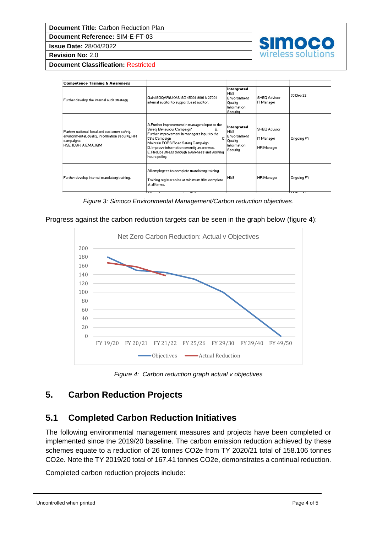**Document Reference:** SIM-E-FT-03

**Issue Date:** 28/04/2022

**Revision No:** 2.0

**Document Classification:** Restricted

| <b>Competence Training &amp; Awareness</b>                                                                                              |                                                                                                                                                                                                                                                                                                                  |                                                                                |                                                 |            |
|-----------------------------------------------------------------------------------------------------------------------------------------|------------------------------------------------------------------------------------------------------------------------------------------------------------------------------------------------------------------------------------------------------------------------------------------------------------------|--------------------------------------------------------------------------------|-------------------------------------------------|------------|
| Further develop the internal audit strategy                                                                                             | Gain ISOQAR/UKAS ISO 45001, 9001 & 27001<br>internal auditor to support Lead auditor.                                                                                                                                                                                                                            | Intergrated<br>H&S<br>Envoronment<br>Quality<br><b>Information</b><br>Security | SHEQ Advisor<br>IT Manager                      | 30 Dec 22  |
| Partner national, local and customer safety,<br>environmental, quality, information security, HR<br>campaigns.<br>HSE, IOSH, AIEMA, IQM | A.Further improvement in managers input to the<br>Safety Behaviour Campaign'<br>В.<br>Further improvement in managers input to the<br>с<br>5S's Campaign<br>Maintain FORS Road Safety Campaign<br>D. Improve information security awareness.<br>E. Reduce stress through awareness and working.<br>hours policy. | Intergrated<br>H&S<br>Envoronment<br>Quality<br><b>Information</b><br>Security | SHEQ Advisor<br>IT Manager<br><b>HR Manager</b> | Ongoing FY |
| Further develop internal mandatory training.                                                                                            | All employees to complete mandatory training.<br>Training register to be at minimum 98% complete.<br>at all times.                                                                                                                                                                                               | H&S                                                                            | <b>HR</b> Manager                               | Ongoing FY |

simoe

wireless solutions

*Figure 3: Simoco Environmental Management/Carbon reduction objectives.*

Progress against the carbon reduction targets can be seen in the graph below (figure 4):



*Figure 4: Carbon reduction graph actual v objectives*

### **5. Carbon Reduction Projects**

### **5.1 Completed Carbon Reduction Initiatives**

The following environmental management measures and projects have been completed or implemented since the 2019/20 baseline. The carbon emission reduction achieved by these schemes equate to a reduction of 26 tonnes CO2e from TY 2020/21 total of 158.106 tonnes CO2e. Note the TY 2019/20 total of 167.41 tonnes CO2e, demonstrates a continual reduction.

Completed carbon reduction projects include: